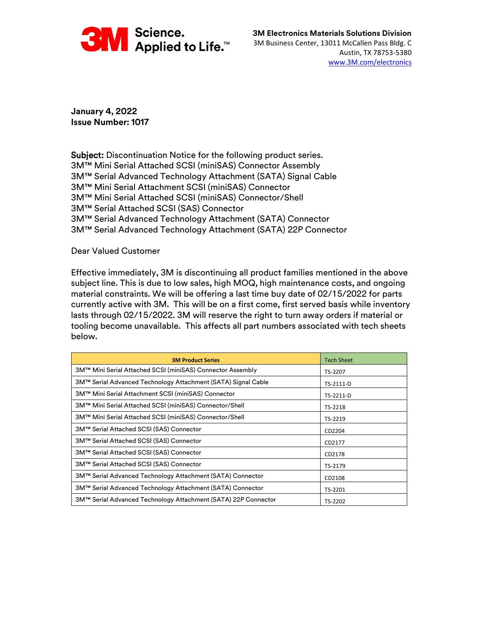

**January 4, 2022 Issue Number: 1017**

Subject: Discontinuation Notice for the following product series. 3M™ Mini Serial Attached SCSI (miniSAS) Connector Assembly 3M™ Serial Advanced Technology Attachment (SATA) Signal Cable 3M™ Mini Serial Attachment SCSI (miniSAS) Connector 3M™ Mini Serial Attached SCSI (miniSAS) Connector/Shell 3M™ Serial Attached SCSI (SAS) Connector 3M™ Serial Advanced Technology Attachment (SATA) Connector 3M™ Serial Advanced Technology Attachment (SATA) 22P Connector

Dear Valued Customer

Effective immediately, 3M is discontinuing all product families mentioned in the above subject line. This is due to low sales, high MOQ, high maintenance costs, and ongoing material constraints. We will be offering a last time buy date of 02/15/2022 for parts currently active with 3M. This will be on a first come, first served basis while inventory lasts through 02/15/2022. 3M will reserve the right to turn away orders if material or tooling become unavailable. This affects all part numbers associated with tech sheets below.

| <b>3M Product Series</b>                                                  | <b>Tech Sheet</b> |  |
|---------------------------------------------------------------------------|-------------------|--|
| 3M™ Mini Serial Attached SCSI (miniSAS) Connector Assembly                | TS-2207           |  |
| 3M™ Serial Advanced Technology Attachment (SATA) Signal Cable             | TS-2111-D         |  |
| 3M™ Mini Serial Attachment SCSI (miniSAS) Connector                       | TS-2211-D         |  |
| 3M™ Mini Serial Attached SCSI (miniSAS) Connector/Shell                   | TS-2218           |  |
| 3M™ Mini Serial Attached SCSI (miniSAS) Connector/Shell                   | TS-2219           |  |
| 3M™ Serial Attached SCSI (SAS) Connector                                  | CD2204            |  |
| 3M™ Serial Attached SCSI (SAS) Connector                                  | CD2177            |  |
| 3M™ Serial Attached SCSI (SAS) Connector                                  | CD2178            |  |
| 3M™ Serial Attached SCSI (SAS) Connector                                  | TS-2179           |  |
| 3M™ Serial Advanced Technology Attachment (SATA) Connector                | CD2108            |  |
| 3M™ Serial Advanced Technology Attachment (SATA) Connector                | TS-2201           |  |
| 3M™ Serial Advanced Technology Attachment (SATA) 22P Connector<br>TS-2202 |                   |  |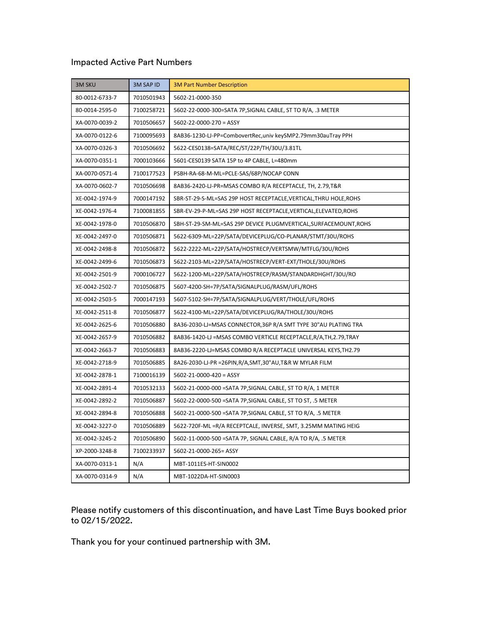## Impacted Active Part Numbers

| <b>3M SKU</b>  | 3M SAP ID  | <b>3M Part Number Description</b>                                   |
|----------------|------------|---------------------------------------------------------------------|
| 80-0012-6733-7 | 7010501943 | 5602-21-0000-350                                                    |
| 80-0014-2595-0 | 7100258721 | 5602-22-0000-300=SATA 7P, SIGNAL CABLE, ST TO R/A, .3 METER         |
| XA-0070-0039-2 | 7010506657 | $5602 - 22 - 0000 - 270 = ASSY$                                     |
| XA-0070-0122-6 | 7100095693 | 8AB36-1230-LJ-PP=CombovertRec, univ keySMP2.79mm30auTray PPH        |
| XA-0070-0326-3 | 7010506692 | 5622-CES0138=SATA/REC/ST/22P/TH/30U/3.81TL                          |
| XA-0070-0351-1 | 7000103666 | 5601-CES0139 SATA 15P to 4P CABLE, L=480mm                          |
| XA-0070-0571-4 | 7100177523 | PSBH-RA-68-M-ML=PCLE-SAS/68P/NOCAP CONN                             |
| XA-0070-0602-7 | 7010506698 | 8AB36-2420-LJ-PR=MSAS COMBO R/A RECEPTACLE, TH, 2.79,T&R            |
| XE-0042-1974-9 | 7000147192 | SBR-ST-29-S-ML=SAS 29P HOST RECEPTACLE, VERTICAL, THRU HOLE, ROHS   |
| XE-0042-1976-4 | 7100081855 | SBR-EV-29-P-ML=SAS 29P HOST RECEPTACLE, VERTICAL, ELEVATED, ROHS    |
| XE-0042-1978-0 | 7010506870 | SBH-ST-29-SM-ML=SAS 29P DEVICE PLUGMVERTICAL, SURFACEMOUNT, ROHS    |
| XE-0042-2497-0 | 7010506871 | 5622-6309-ML=22P/SATA/DEVICEPLUG/CO-PLANAR/STMT/30U/ROHS            |
| XE-0042-2498-8 | 7010506872 | 5622-2222-ML=22P/SATA/HOSTRECP/VERTSMW/MTFLG/30U/ROHS               |
| XE-0042-2499-6 | 7010506873 | 5622-2103-ML=22P/SATA/HOSTRECP/VERT-EXT/THOLE/30U/ROHS              |
| XE-0042-2501-9 | 7000106727 | 5622-1200-ML=22P/SATA/HOSTRECP/RASM/STANDARDHGHT/30U/RO             |
| XE-0042-2502-7 | 7010506875 | 5607-4200-SH=7P/SATA/SIGNALPLUG/RASM/UFL/ROHS                       |
| XE-0042-2503-5 | 7000147193 | 5607-5102-SH=7P/SATA/SIGNALPLUG/VERT/THOLE/UFL/ROHS                 |
| XE-0042-2511-8 | 7010506877 | 5622-4100-ML=22P/SATA/DEVICEPLUG/RA/THOLE/30U/ROHS                  |
| XE-0042-2625-6 | 7010506880 | 8A36-2030-LJ=MSAS CONNECTOR,36P R/A SMT TYPE 30"AU PLATING TRA      |
| XE-0042-2657-9 | 7010506882 | 8AB36-1420-LJ = MSAS COMBO VERTICLE RECEPTACLE, R/A, TH, 2.79, TRAY |
| XE-0042-2663-7 | 7010506883 | 8AB36-2220-LJ=MSAS COMBO R/A RECEPTACLE UNIVERSAL KEYS, TH2.79      |
| XE-0042-2718-9 | 7010506885 | 8A26-2030-LJ-PR = 26PIN, R/A, SMT, 30" AU, T&R W MYLAR FILM         |
| XE-0042-2878-1 | 7100016139 | $5602 - 21 - 0000 - 420 = ASSY$                                     |
| XE-0042-2891-4 | 7010532133 | 5602-21-0000-000 = SATA 7P, SIGNAL CABLE, ST TO R/A, 1 METER        |
| XE-0042-2892-2 | 7010506887 | 5602-22-0000-500 = SATA 7P, SIGNAL CABLE, ST TO ST, .5 METER        |
| XE-0042-2894-8 | 7010506888 | 5602-21-0000-500 = SATA 7P, SIGNAL CABLE, ST TO R/A, .5 METER       |
| XE-0042-3227-0 | 7010506889 | 5622-720F-ML = R/A RECEPTCALE, INVERSE, SMT, 3.25MM MATING HEIG     |
| XE-0042-3245-2 | 7010506890 | 5602-11-0000-500 = SATA 7P, SIGNAL CABLE, R/A TO R/A, .5 METER      |
| XP-2000-3248-8 | 7100233937 | 5602-21-0000-265= ASSY                                              |
| XA-0070-0313-1 | N/A        | MBT-1011ES-HT-SIN0002                                               |
| XA-0070-0314-9 | N/A        | MBT-1022DA-HT-SIN0003                                               |

Please notify customers of this discontinuation, and have Last Time Buys booked prior to 02/15/2022.

Thank you for your continued partnership with 3M.